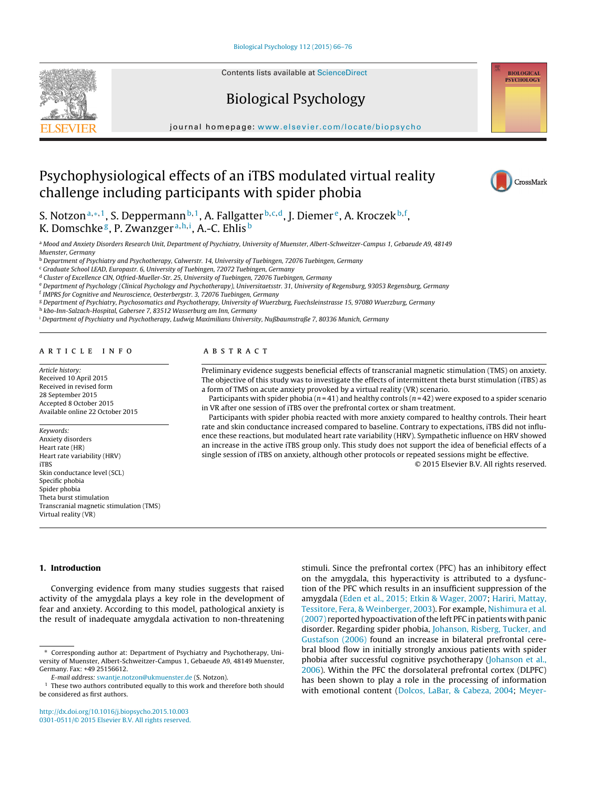Contents lists available at [ScienceDirect](http://www.sciencedirect.com/science/journal/03010511)

Biological Psychology



iournal homepage: [www.elsevier.com/locate/biopsycho](http://www.elsevier.com/locate/biopsycho)

## Psychophysiological effects of an iTBS modulated virtual reality challenge including participants with spider phobia



S. Notzonª,\*,<sup>1</sup>, S. Deppermann<sup>b,1</sup>, A. Fallgatter<sup>b,c,d</sup>, J. Diemer<sup>e</sup>, A. Kroczek<sup>b,f</sup>, K. Domschke<sup>g</sup>, P. Zwanzger<sup>a,h,i</sup>, A.-C. Ehlis <sup>b</sup>

a Mood and Anxiety Disorders Research Unit, Department of Psychiatry, University of Muenster, Albert-Schweitzer-Campus 1, Gebaeude A9, 48149 Muenster, Germany

<sup>b</sup> Department of Psychiatry and Psychotherapy, Calwerstr. 14, University of Tuebingen, 72076 Tuebingen, Germany

 $c$  Graduate School LEAD, Europastr. 6, University of Tuebingen, 72072 Tuebingen, Germany

<sup>d</sup> Cluster of Excellence CIN, Otfried-Mueller-Str. 25, University of Tuebingen, 72076 Tuebingen, Germany

e Department of Psychology (Clinical Psychology and Psychotherapy), Universitaetsstr. 31, University of Regensburg, 93053 Regensburg, Germany

<sup>f</sup> IMPRS for Cognitive and Neuroscience, Oesterbergstr. 3, 72076 Tuebingen, Germany

<sup>g</sup> Department of Psychiatry, Psychosomatics and Psychotherapy, University of Wuerzburg, Fuechsleinstrasse 15, 97080 Wuerzburg, Germany

<sup>h</sup> kbo-Inn-Salzach-Hospital, Gabersee 7, 83512 Wasserburg am Inn, Germany

<sup>i</sup> Department of Psychiatry und Psychotherapy, Ludwig Maximilians University, Nußbaumstraße 7, 80336 Munich, Germany

### a r t i c l e i n f o

Article history: Received 10 April 2015 Received in revised form 28 September 2015 Accepted 8 October 2015 Available online 22 October 2015

Keywords: Anxiety disorders Heart rate (HR) Heart rate variability (HRV) iTBS Skin conductance level (SCL) Specific phobia Spider phobia Theta burst stimulation Transcranial magnetic stimulation (TMS) Virtual reality (VR)

### A B S T R A C T

Preliminary evidence suggests beneficial effects of transcranial magnetic stimulation (TMS) on anxiety. The objective of this study was to investigate the effects of intermittent theta burst stimulation (iTBS) as a form of TMS on acute anxiety provoked by a virtual reality (VR) scenario.

Participants with spider phobia  $(n=41)$  and healthy controls  $(n=42)$  were exposed to a spider scenario in VR after one session of iTBS over the prefrontal cortex or sham treatment.

Participants with spider phobia reacted with more anxiety compared to healthy controls. Their heart rate and skin conductance increased compared to baseline. Contrary to expectations, iTBS did not influence these reactions, but modulated heart rate variability (HRV). Sympathetic influence on HRV showed an increase in the active iTBS group only. This study does not support the idea of beneficial effects of a single session of iTBS on anxiety, although other protocols or repeated sessions might be effective.

© 2015 Elsevier B.V. All rights reserved.

#### **1. Introduction**

Converging evidence from many studies suggests that raised activity of the amygdala plays a key role in the development of fear and anxiety. According to this model, pathological anxiety is the result of inadequate amygdala activation to non-threatening

[http://dx.doi.org/10.1016/j.biopsycho.2015.10.003](dx.doi.org/10.1016/j.biopsycho.2015.10.003) 0301-0511/© 2015 Elsevier B.V. All rights reserved.

stimuli. Since the prefrontal cortex (PFC) has an inhibitory effect on the amygdala, this hyperactivity is attributed to a dysfunction of the PFC which results in an insufficient suppression of the amygdala ([Eden](#page--1-0) et [al.,](#page--1-0) [2015;](#page--1-0) [Etkin](#page--1-0) [&](#page--1-0) [Wager,](#page--1-0) [2007;](#page--1-0) [Hariri,](#page--1-0) [Mattay,](#page--1-0) [Tessitore,](#page--1-0) [Fera,](#page--1-0) [&](#page--1-0) [Weinberger,](#page--1-0) [2003\).](#page--1-0) For example, [Nishimura](#page--1-0) et [al.](#page--1-0)  $(2007)$  reported hypoactivation of the left PFC in patients with panic disorder. Regarding spider phobia, [Johanson,](#page--1-0) [Risberg,](#page--1-0) [Tucker,](#page--1-0) [and](#page--1-0) [Gustafson](#page--1-0) [\(2006\)](#page--1-0) found an increase in bilateral prefrontal cerebral blood flow in initially strongly anxious patients with spider phobia after successful cognitive psychotherapy ([Johanson](#page--1-0) et [al.,](#page--1-0) [2006\).](#page--1-0) Within the PFC the dorsolateral prefrontal cortex (DLPFC) has been shown to play a role in the processing of information with emotional content ([Dolcos,](#page--1-0) [LaBar,](#page--1-0) [&](#page--1-0) [Cabeza,](#page--1-0) [2004;](#page--1-0) [Meyer-](#page--1-0)

<sup>∗</sup> Corresponding author at: Department of Psychiatry and Psychotherapy, University of Muenster, Albert-Schweitzer-Campus 1, Gebaeude A9, 48149 Muenster, Germany. Fax: +49 25156612.

E-mail address: [swantje.notzon@ukmuenster.de](mailto:swantje.notzon@ukmuenster.de) (S. Notzon).

<sup>&</sup>lt;sup>1</sup> These two authors contributed equally to this work and therefore both should be considered as first authors.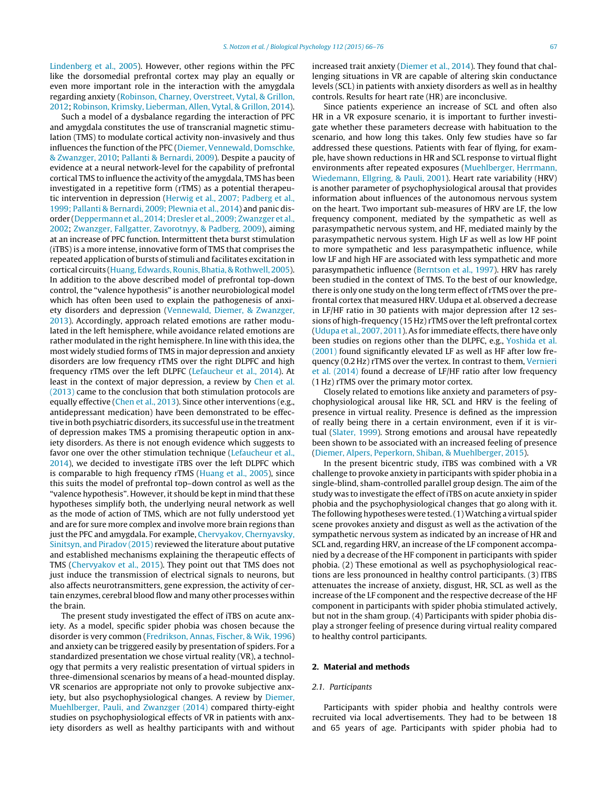Lindenberg et [al.,](#page--1-0) [2005\).](#page--1-0) However, other regions within the PFC like the dorsomedial prefrontal cortex may play an equally or even more important role in the interaction with the amygdala regarding anxiety [\(Robinson,](#page--1-0) [Charney,](#page--1-0) [Overstreet,](#page--1-0) [Vytal,](#page--1-0) [&](#page--1-0) [Grillon,](#page--1-0) [2012;](#page--1-0) [Robinson,](#page--1-0) [Krimsky,](#page--1-0) [Lieberman,](#page--1-0) [Allen,](#page--1-0) [Vytal,](#page--1-0) [&](#page--1-0) [Grillon,](#page--1-0) [2014\).](#page--1-0)

Such a model of a dysbalance regarding the interaction of PFC and amygdala constitutes the use of transcranial magnetic stimulation (TMS) to modulate cortical activity non-invasively and thus influences the function of the PFC ([Diemer,](#page--1-0) [Vennewald,](#page--1-0) [Domschke,](#page--1-0) [&](#page--1-0) [Zwanzger,](#page--1-0) [2010;](#page--1-0) [Pallanti](#page--1-0) [&](#page--1-0) [Bernardi,](#page--1-0) [2009\).](#page--1-0) Despite a paucity of evidence at a neural network-level for the capability of prefrontal cortical TMS to influence the activity of the amygdala, TMS has been investigated in a repetitive form (rTMS) as a potential therapeutic intervention in depression ([Herwig](#page--1-0) et [al.,](#page--1-0) [2007;](#page--1-0) [Padberg](#page--1-0) et [al.,](#page--1-0) [1999;](#page--1-0) [Pallanti](#page--1-0) [&](#page--1-0) [Bernardi,](#page--1-0) [2009;](#page--1-0) [Plewnia](#page--1-0) et [al.,](#page--1-0) [2014\)](#page--1-0) and panic disorder ([Deppermann](#page--1-0) et [al.,](#page--1-0) [2014;](#page--1-0) [Dresler](#page--1-0) et [al.,](#page--1-0) [2009;](#page--1-0) [Zwanzger](#page--1-0) et [al.,](#page--1-0) [2002;](#page--1-0) [Zwanzger,](#page--1-0) [Fallgatter,](#page--1-0) [Zavorotnyy,](#page--1-0) [&](#page--1-0) [Padberg,](#page--1-0) [2009\),](#page--1-0) aiming at an increase of PFC function. Intermittent theta burst stimulation (iTBS) is a more intense, innovative form of TMS that comprises the repeated application of bursts of stimuli and facilitates excitation in cortical circuits ([Huang,](#page--1-0) Edwards, Rounis, Bhatia, [&](#page--1-0) [Rothwell,](#page--1-0) [2005\).](#page--1-0) In addition to the above described model of prefrontal top-down control, the "valence hypothesis" is another neurobiological model which has often been used to explain the pathogenesis of anxiety disorders and depression [\(Vennewald,](#page--1-0) [Diemer,](#page--1-0) [&](#page--1-0) [Zwanzger,](#page--1-0) [2013\).](#page--1-0) Accordingly, approach related emotions are rather modulated in the left hemisphere, while avoidance related emotions are rather modulated in the right hemisphere. In line with this idea, the most widely studied forms of TMS in major depression and anxiety disorders are low frequency rTMS over the right DLPFC and high frequency rTMS over the left DLPFC ([Lefaucheur](#page--1-0) et [al.,](#page--1-0) [2014\).](#page--1-0) At least in the context of major depression, a review by [Chen](#page--1-0) et [al.](#page--1-0) [\(2013\)](#page--1-0) came to the conclusion that both stimulation protocols are equally effective [\(Chen](#page--1-0) et [al.,](#page--1-0) [2013\).](#page--1-0) Since other interventions (e.g., antidepressant medication) have been demonstrated to be effective in both psychiatric disorders, its successful use in the treatment of depression makes TMS a promising therapeutic option in anxiety disorders. As there is not enough evidence which suggests to favor one over the other stimulation technique ([Lefaucheur](#page--1-0) et [al.,](#page--1-0) [2014\),](#page--1-0) we decided to investigate iTBS over the left DLPFC which is comparable to high frequency rTMS ([Huang](#page--1-0) et [al.,](#page--1-0) [2005\),](#page--1-0) since this suits the model of prefrontal top–down control as well as the "valence hypothesis". However, it should be kept in mind that these hypotheses simplify both, the underlying neural network as well as the mode of action of TMS, which are not fully understood yet and are for sure more complex and involve more brain regions than just the PFC and amygdala. For example, [Chervyakov,](#page--1-0) [Chernyavsky,](#page--1-0) [Sinitsyn,](#page--1-0) [and](#page--1-0) [Piradov](#page--1-0) [\(2015\)](#page--1-0) reviewed the literature about putative and established mechanisms explaining the therapeutic effects of TMS [\(Chervyakov](#page--1-0) et [al.,](#page--1-0) [2015\).](#page--1-0) They point out that TMS does not just induce the transmission of electrical signals to neurons, but also affects neurotransmitters, gene expression, the activity of certain enzymes, cerebral blood flow and many other processes within the brain.

The present study investigated the effect of iTBS on acute anxiety. As a model, specific spider phobia was chosen because the disorder is very common ([Fredrikson,](#page--1-0) [Annas,](#page--1-0) [Fischer,](#page--1-0) [&](#page--1-0) [Wik,](#page--1-0) [1996\)](#page--1-0) and anxiety can be triggered easily by presentation of spiders. For a standardized presentation we chose virtual reality (VR), a technology that permits a very realistic presentation of virtual spiders in three-dimensional scenarios by means of a head-mounted display. VR scenarios are appropriate not only to provoke subjective anxiety, but also psychophysiological changes. A review by [Diemer,](#page--1-0) [Muehlberger,](#page--1-0) [Pauli,](#page--1-0) [and](#page--1-0) [Zwanzger](#page--1-0) [\(2014\)](#page--1-0) compared thirty-eight studies on psychophysiological effects of VR in patients with anxiety disorders as well as healthy participants with and without increased trait anxiety ([Diemer](#page--1-0) et [al.,](#page--1-0) [2014\).](#page--1-0) They found that challenging situations in VR are capable of altering skin conductance levels (SCL) in patients with anxiety disorders as well as in healthy controls. Results for heart rate (HR) are inconclusive.

Since patients experience an increase of SCL and often also HR in a VR exposure scenario, it is important to further investigate whether these parameters decrease with habituation to the scenario, and how long this takes. Only few studies have so far addressed these questions. Patients with fear of flying, for example, have shown reductions in HR and SCL response to virtual flight environments after repeated exposures ([Muehlberger,](#page--1-0) [Herrmann,](#page--1-0) [Wiedemann,](#page--1-0) [Ellgring,](#page--1-0) [&](#page--1-0) [Pauli,](#page--1-0) [2001\).](#page--1-0) Heart rate variability (HRV) is another parameter of psychophysiological arousal that provides information about influences of the autonomous nervous system on the heart. Two important sub-measures of HRV are LF, the low frequency component, mediated by the sympathetic as well as parasympathetic nervous system, and HF, mediated mainly by the parasympathetic nervous system. High LF as well as low HF point to more sympathetic and less parasympathetic influence, while low LF and high HF are associated with less sympathetic and more parasympathetic influence ([Berntson](#page--1-0) et [al.,](#page--1-0) [1997\).](#page--1-0) HRV has rarely been studied in the context of TMS. To the best of our knowledge, there is only one study on the long term effect of rTMS over the prefrontal cortex that measured HRV. Udupa et al. observed a decrease in LF/HF ratio in 30 patients with major depression after 12 sessions of high-frequency (15 Hz) rTMS over the left prefrontal cortex [\(Udupa](#page--1-0) et [al.,](#page--1-0) [2007,](#page--1-0) [2011\).](#page--1-0) As for immediate effects, there have only been studies on regions other than the DLPFC, e.g., [Yoshida](#page--1-0) et [al.](#page--1-0) [\(2001\)](#page--1-0) found significantly elevated LF as well as HF after low frequency (0.2 Hz) rTMS over the vertex. In contrast to them, [Vernieri](#page--1-0) et [al.](#page--1-0) [\(2014\)](#page--1-0) found a decrease of LF/HF ratio after low frequency (1 Hz) rTMS over the primary motor cortex.

Closely related to emotions like anxiety and parameters of psychophysiological arousal like HR, SCL and HRV is the feeling of presence in virtual reality. Presence is defined as the impression of really being there in a certain environment, even if it is virtual [\(Slater,](#page--1-0) [1999\).](#page--1-0) Strong emotions and arousal have repeatedly been shown to be associated with an increased feeling of presence [\(Diemer,](#page--1-0) [Alpers,](#page--1-0) [Peperkorn,](#page--1-0) [Shiban,](#page--1-0) [&](#page--1-0) [Muehlberger,](#page--1-0) [2015\).](#page--1-0)

In the present bicentric study, iTBS was combined with a VR challenge to provoke anxiety in participants with spider phobia in a single-blind, sham-controlled parallel group design. The aim of the study was to investigate the effect of iTBS on acute anxiety in spider phobia and the psychophysiological changes that go along with it. The following hypotheses were tested.(1)Watching a virtual spider scene provokes anxiety and disgust as well as the activation of the sympathetic nervous system as indicated by an increase of HR and SCL and, regarding HRV, an increase of the LF component accompanied by a decrease of the HF component in participants with spider phobia. (2) These emotional as well as psychophysiological reactions are less pronounced in healthy control participants. (3) ITBS attenuates the increase of anxiety, disgust, HR, SCL as well as the increase of the LF component and the respective decrease of the HF component in participants with spider phobia stimulated actively, but not in the sham group. (4) Participants with spider phobia display a stronger feeling of presence during virtual reality compared to healthy control participants.

#### **2. Material and methods**

#### 2.1. Participants

Participants with spider phobia and healthy controls were recruited via local advertisements. They had to be between 18 and 65 years of age. Participants with spider phobia had to